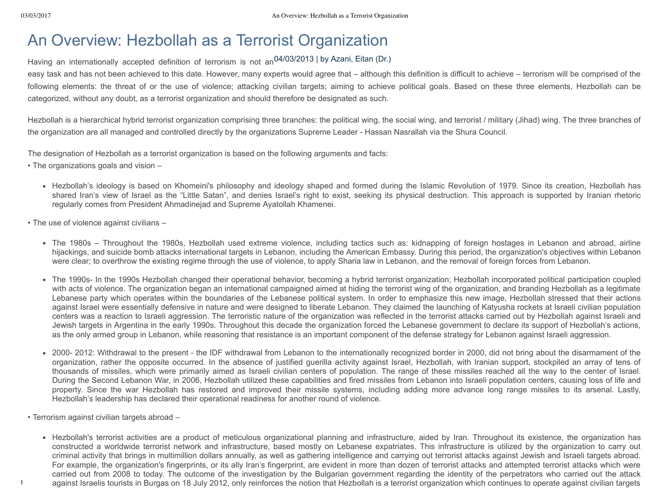## An Overview: Hezbollah as a Terrorist Organization

Having an internationally accepted definition of terrorism is not an<sup>04/03/2013</sup> | by Azani, Eitan (Dr.)

easy task and has not been achieved to this date. However, many experts would agree that – although this definition is difficult to achieve – terrorism will be comprised of the following elements: the threat of or the use of violence; attacking civilian targets; aiming to achieve political goals. Based on these three elements, Hezbollah can be categorized, without any doubt, as a terrorist organization and should therefore be designated as such.

Hezbollah is a hierarchical hybrid terrorist organization comprising three branches: the political wing, the social wing, and terrorist / military (Jihad) wing. The three branches of the organization are all managed and controlled directly by the organizations Supreme Leader - Hassan Nasrallah via the Shura Council.

The designation of Hezbollah as a terrorist organization is based on the following arguments and facts:

- The organizations goals and vision
	- Hezbollah's ideology is based on Khomeini's philosophy and ideology shaped and formed during the Islamic Revolution of 1979. Since its creation, Hezbollah has shared Iran's view of Israel as the "Little Satan", and denies Israel's right to exist, seeking its physical destruction. This approach is supported by Iranian rhetoric regularly comes from President Ahmadinejad and Supreme Ayatollah Khamenei.
- The use of violence against civilians
	- The 1980s Throughout the 1980s, Hezbollah used extreme violence, including tactics such as: kidnapping of foreign hostages in Lebanon and abroad, airline hijackings, and suicide bomb attacks international targets in Lebanon, including the American Embassy. During this period, the organization's objectives within Lebanon were clear; to overthrow the existing regime through the use of violence, to apply Sharia law in Lebanon, and the removal of foreign forces from Lebanon.
	- The 1990s- In the 1990s Hezbollah changed their operational behavior, becoming a hybrid terrorist organization; Hezbollah incorporated political participation coupled with acts of violence. The organization began an international campaigned aimed at hiding the terrorist wing of the organization, and branding Hezbollah as a legitimate Lebanese party which operates within the boundaries of the Lebanese political system. In order to emphasize this new image, Hezbollah stressed that their actions against Israel were essentially defensive in nature and were designed to liberate Lebanon. They claimed the launching of Katyusha rockets at Israeli civilian population centers was a reaction to Israeli aggression. The terroristic nature of the organization was reflected in the terrorist attacks carried out by Hezbollah against Israeli and Jewish targets in Argentina in the early 1990s. Throughout this decade the organization forced the Lebanese government to declare its support of Hezbollah's actions, as the only armed group in Lebanon, while reasoning that resistance is an important component of the defense strategy for Lebanon against Israeli aggression.
	- 2000-2012: Withdrawal to the present the IDF withdrawal from Lebanon to the internationally recognized border in 2000, did not bring about the disarmament of the organization, rather the opposite occurred. In the absence of justified guerilla activity against Israel, Hezbollah, with Iranian support, stockpiled an array of tens of thousands of missiles, which were primarily aimed as Israeli civilian centers of population. The range of these missiles reached all the way to the center of Israel. During the Second Lebanon War, in 2006, Hezbollah utilized these capabilities and fired missiles from Lebanon into Israeli population centers, causing loss of life and property. Since the war Hezbollah has restored and improved their missile systems, including adding more advance long range missiles to its arsenal. Lastly, Hezbollah's leadership has declared their operational readiness for another round of violence.
- Terrorism against civilian targets abroad –
- against Israelis tourists in Burgas on 18 July 2012, only reinforces the notion that Hezbollah is a terrorist organization which continues to operate against civilian targets • Hezbollah's terrorist activities are a product of meticulous organizational planning and infrastructure, aided by Iran. Throughout its existence, the organization has constructed a worldwide terrorist network and infrastructure, based mostly on Lebanese expatriates. This infrastructure is utilized by the organization to carry out criminal activity that brings in multimillion dollars annually, as well as gathering intelligence and carrying out terrorist attacks against Jewish and Israeli targets abroad. For example, the organization's fingerprints, or its ally Iran's fingerprint, are evident in more than dozen of terrorist attacks and attempted terrorist attacks which were carried out from 2008 to today. The outcome of the investigation by the Bulgarian government regarding the identity of the perpetrators who carried out the attack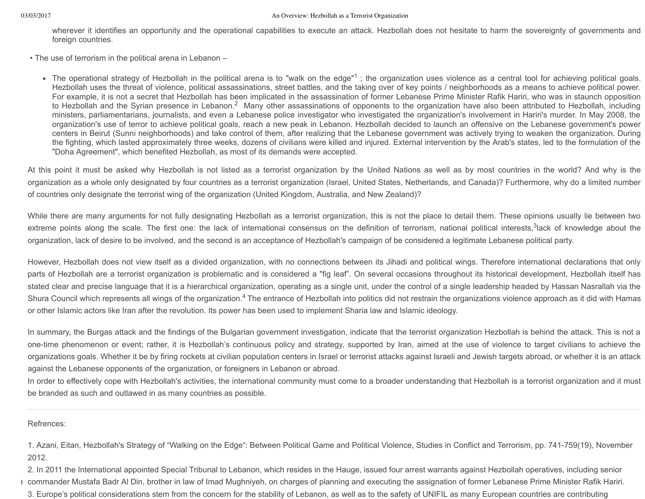wherever it identifies an opportunity and the operational capabilities to execute an attack. Hezbollah does not hesitate to harm the sovereignty of governments and foreign countries.

• The use of terrorism in the political arena in Lebanon –

The operational strategy of Hezbollah in the political arena is to "walk on the edge"<sup>1</sup>; the organization uses violence as a central tool for achieving political goals. Hezbollah uses the threat of violence, political assassinations, street battles, and the taking over of key points / neighborhoods as a means to achieve political power. For example, it is not a secret that Hezbollah has been implicated in the assassination of former Lebanese Prime Minister Rafik Hariri, who was in staunch opposition to Hezbollah and the Syrian presence in Lebanon.<sup>2</sup> Many other assassinations of opponents to the organization have also been attributed to Hezbollah, including ministers, parliamentarians, journalists, and even a Lebanese police investigator who investigated the organization's involvement in Hariri's murder. In May 2008, the organization's use of terror to achieve political goals, reach a new peak in Lebanon. Hezbollah decided to launch an offensive on the Lebanese government's power centers in Beirut (Sunni neighborhoods) and take control of them, after realizing that the Lebanese government was actively trying to weaken the organization. During the fighting, which lasted approximately three weeks, dozens of civilians were killed and injured. External intervention by the Arab's states, led to the formulation of the "Doha Agreement", which benefited Hezbollah, as most of its demands were accepted.

At this point it must be asked why Hezbollah is not listed as a terrorist organization by the United Nations as well as by most countries in the world? And why is the organization as a whole only designated by four countries as a terrorist organization (Israel, United States, Netherlands, and Canada)? Furthermore, why do a limited number of countries only designate the terrorist wing of the organization (United Kingdom, Australia, and New Zealand)?

While there are many arguments for not fully designating Hezbollah as a terrorist organization, this is not the place to detail them. These opinions usually lie between two extreme points along the scale. The first one: the lack of international consensus on the definition of terrorism, national political interests, 3 lack of knowledge about the organization, lack of desire to be involved, and the second is an acceptance of Hezbollah's campaign of be considered a legitimate Lebanese political party.

However, Hezbollah does not view itself as a divided organization, with no connections between its Jihadi and political wings. Therefore international declarations that only parts of Hezbollah are a terrorist organization is problematic and is considered a "fig leaf". On several occasions throughout its historical development, Hezbollah itself has stated clear and precise language that it is a hierarchical organization, operating as a single unit, under the control of a single leadership headed by Hassan Nasrallah via the Shura Council which represents all wings of the organization.<sup>4</sup> The entrance of Hezbollah into politics did not restrain the organizations violence approach as it did with Hamas or other Islamic actors like Iran after the revolution. Its power has been used to implement Sharia law and Islamic ideology.

In summary, the Burgas attack and the findings of the Bulgarian government investigation, indicate that the terrorist organization Hezbollah is behind the attack. This is not a onetime phenomenon or event; rather, it is Hezbollah's continuous policy and strategy, supported by Iran, aimed at the use of violence to target civilians to achieve the organizations goals. Whether it be by firing rockets at civilian population centers in Israel or terrorist attacks against Israeli and Jewish targets abroad, or whether it is an attack against the Lebanese opponents of the organization, or foreigners in Lebanon or abroad.

In order to effectively cope with Hezbollah's activities, the international community must come to a broader understanding that Hezbollah is a terrorist organization and it must be branded as such and outlawed in as many countries as possible.

Refrences:

1. Azani, Eitan, Hezbollah's Strategy of "Walking on the Edge": Between Political Game and Political Violence, Studies in Conflict and Terrorism, pp. 741759(19), November 2012.

I commander Mustafa Badr Al Din, brother in law of Imad Mughniyeh, on charges of planning and executing the assignation of former Lebanese Prime Minister Rafik Hariri. 2. In 2011 the International appointed Special Tribunal to Lebanon, which resides in the Hauge, issued four arrest warrants against Hezbollah operatives, including senior 3. Europe's political considerations stem from the concern for the stability of Lebanon, as well as to the safety of UNIFIL as many European countries are contributing